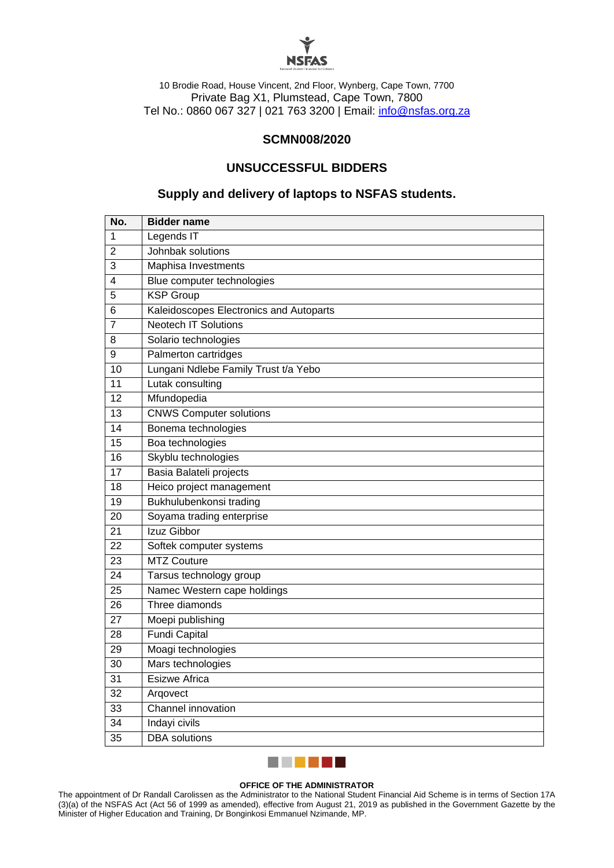

10 Brodie Road, House Vincent, 2nd Floor, Wynberg, Cape Town, 7700 Private Bag X1, Plumstead, Cape Town, 7800 Tel No.: 0860 067 327 | 021 763 3200 | Email: [info@nsfas.org.za](mailto:info@nsfas.org.za)

## **SCMN008/2020**

## **UNSUCCESSFUL BIDDERS**

## **Supply and delivery of laptops to NSFAS students.**

| No.             | <b>Bidder name</b>                      |
|-----------------|-----------------------------------------|
| 1               | Legends IT                              |
| $\overline{2}$  | Johnbak solutions                       |
| 3               | Maphisa Investments                     |
| $\overline{4}$  | Blue computer technologies              |
| 5               | <b>KSP Group</b>                        |
| 6               | Kaleidoscopes Electronics and Autoparts |
| $\overline{7}$  | Neotech IT Solutions                    |
| 8               | Solario technologies                    |
| 9               | Palmerton cartridges                    |
| 10              | Lungani Ndlebe Family Trust t/a Yebo    |
| 11              | Lutak consulting                        |
| 12              | Mfundopedia                             |
| 13              | <b>CNWS Computer solutions</b>          |
| 14              | Bonema technologies                     |
| 15              | Boa technologies                        |
| 16              | Skyblu technologies                     |
| $\overline{17}$ | Basia Balateli projects                 |
| $\overline{18}$ | Heico project management                |
| $\overline{19}$ | Bukhulubenkonsi trading                 |
| 20              | Soyama trading enterprise               |
| 21              | Izuz Gibbor                             |
| $\overline{22}$ | Softek computer systems                 |
| 23              | <b>MTZ Couture</b>                      |
| 24              | Tarsus technology group                 |
| 25              | Namec Western cape holdings             |
| 26              | Three diamonds                          |
| 27              | Moepi publishing                        |
| 28              | <b>Fundi Capital</b>                    |
| $\overline{29}$ | Moagi technologies                      |
| $\overline{30}$ | Mars technologies                       |
| 31              | <b>Esizwe Africa</b>                    |
| 32              | Argovect                                |
| 33              | Channel innovation                      |
| 34              | Indayi civils                           |
| $\overline{35}$ | <b>DBA</b> solutions                    |



#### **OFFICE OF THE ADMINISTRATOR**

The appointment of Dr Randall Carolissen as the Administrator to the National Student Financial Aid Scheme is in terms of Section 17A (3)(a) of the NSFAS Act (Act 56 of 1999 as amended), effective from August 21, 2019 as published in the Government Gazette by the Minister of Higher Education and Training, Dr Bonginkosi Emmanuel Nzimande, MP.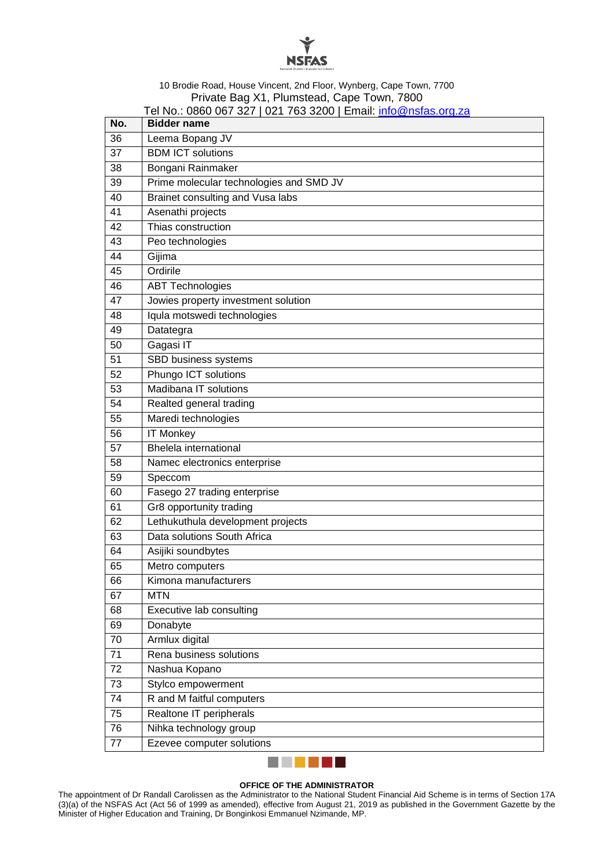

#### 10 Brodie Road, House Vincent, 2nd Floor, Wynberg, Cape Town, 7700 Private Bag X1, Plumstead, Cape Town, 7800 Tel No.: 0860 067 327 | 021 763 3200 | Email: [info@nsfas.org.za](mailto:info@nsfas.org.za)

| No.             | $0 - 1$ , $00 - 0 - 0$<br><b>Bidder name</b> |
|-----------------|----------------------------------------------|
| 36              | Leema Bopang JV                              |
| 37              | <b>BDM ICT solutions</b>                     |
| 38              | Bongani Rainmaker                            |
| 39              | Prime molecular technologies and SMD JV      |
| 40              | Brainet consulting and Vusa labs             |
| 41              | Asenathi projects                            |
| 42              | Thias construction                           |
| 43              | Peo technologies                             |
| 44              | Gijima                                       |
| 45              | Ordirile                                     |
| 46              | <b>ABT Technologies</b>                      |
| 47              | Jowies property investment solution          |
| 48              | Iqula motswedi technologies                  |
| 49              | Datategra                                    |
| 50              | Gagasi IT                                    |
| 51              | SBD business systems                         |
| 52              | Phungo ICT solutions                         |
| 53              | Madibana IT solutions                        |
| 54              | Realted general trading                      |
| 55              | Maredi technologies                          |
| 56              | <b>IT Monkey</b>                             |
| 57              | <b>Bhelela</b> international                 |
| 58              | Namec electronics enterprise                 |
| 59              | Speccom                                      |
| 60              | Fasego 27 trading enterprise                 |
| 61              | Gr8 opportunity trading                      |
| 62              | Lethukuthula development projects            |
| 63              | Data solutions South Africa                  |
| 64              | Asijiki soundbytes                           |
| 65              | Metro computers                              |
| 66              | Kimona manufacturers                         |
| 67              | <b>MTN</b>                                   |
| 68              | Executive lab consulting                     |
| 69              | Donabyte                                     |
| 70              | Armlux digital                               |
| 71              | Rena business solutions                      |
| 72              | Nashua Kopano                                |
| 73              | Stylco empowerment                           |
| $\overline{74}$ | R and M faitful computers                    |
| $\overline{75}$ | Realtone IT peripherals                      |
| 76              | Nihka technology group                       |
| 77              | Ezevee computer solutions                    |
|                 |                                              |

**OFFICE OF THE ADMINISTRATOR** The appointment of Dr Randall Carolissen as the Administrator to the National Student Financial Aid Scheme is in terms of Section 17A (3)(a) of the NSFAS Act (Act 56 of 1999 as amended), effective from August 21, 2019 as published in the Government Gazette by the Minister of Higher Education and Training, Dr Bonginkosi Emmanuel Nzimande, MP.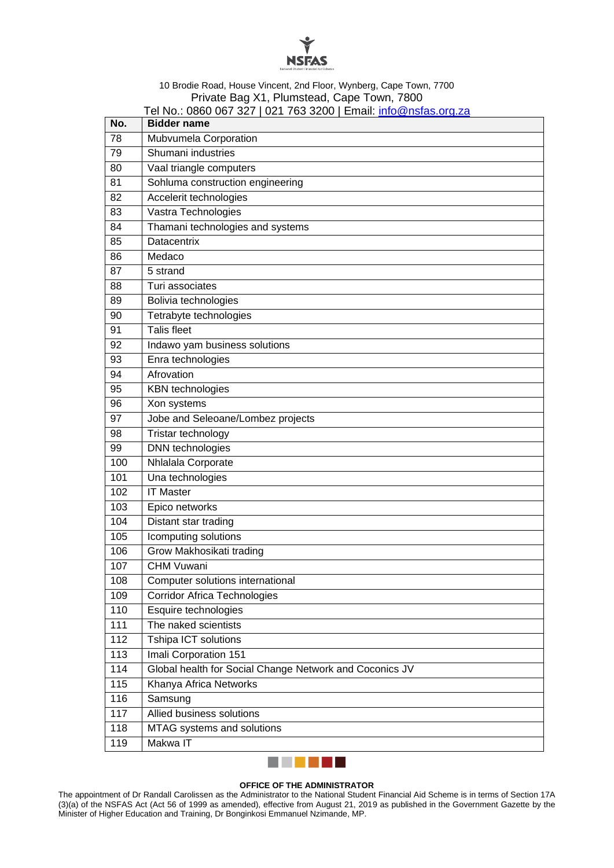

### 10 Brodie Road, House Vincent, 2nd Floor, Wynberg, Cape Town, 7700 Private Bag X1, Plumstead, Cape Town, 7800 Tel No.: 0860 067 327 | 021 763 3200 | Email: [info@nsfas.org.za](mailto:info@nsfas.org.za)

| No. | <b>Bidder name</b>                                      |
|-----|---------------------------------------------------------|
| 78  | Mubvumela Corporation                                   |
| 79  | Shumani industries                                      |
| 80  | Vaal triangle computers                                 |
| 81  | Sohluma construction engineering                        |
| 82  | Accelerit technologies                                  |
| 83  | Vastra Technologies                                     |
| 84  | Thamani technologies and systems                        |
| 85  | Datacentrix                                             |
| 86  | Medaco                                                  |
| 87  | 5 strand                                                |
| 88  | Turi associates                                         |
| 89  | Bolivia technologies                                    |
| 90  | Tetrabyte technologies                                  |
| 91  | <b>Talis fleet</b>                                      |
| 92  | Indawo yam business solutions                           |
| 93  | Enra technologies                                       |
| 94  | Afrovation                                              |
| 95  | <b>KBN</b> technologies                                 |
| 96  | Xon systems                                             |
| 97  | Jobe and Seleoane/Lombez projects                       |
| 98  | Tristar technology                                      |
| 99  | <b>DNN</b> technologies                                 |
| 100 | Nhlalala Corporate                                      |
| 101 | Una technologies                                        |
| 102 | <b>IT Master</b>                                        |
| 103 | Epico networks                                          |
| 104 | Distant star trading                                    |
| 105 | Icomputing solutions                                    |
| 106 | Grow Makhosikati trading                                |
| 107 | <b>CHM Vuwani</b>                                       |
| 108 | Computer solutions international                        |
| 109 | <b>Corridor Africa Technologies</b>                     |
| 110 | Esquire technologies                                    |
| 111 | The naked scientists                                    |
| 112 | Tshipa ICT solutions                                    |
| 113 | Imali Corporation 151                                   |
| 114 | Global health for Social Change Network and Coconics JV |
| 115 | Khanya Africa Networks                                  |
| 116 | Samsung                                                 |
| 117 | Allied business solutions                               |
| 118 | MTAG systems and solutions                              |
| 119 | Makwa IT                                                |



## **OFFICE OF THE ADMINISTRATOR**

The appointment of Dr Randall Carolissen as the Administrator to the National Student Financial Aid Scheme is in terms of Section 17A (3)(a) of the NSFAS Act (Act 56 of 1999 as amended), effective from August 21, 2019 as published in the Government Gazette by the Minister of Higher Education and Training, Dr Bonginkosi Emmanuel Nzimande, MP.